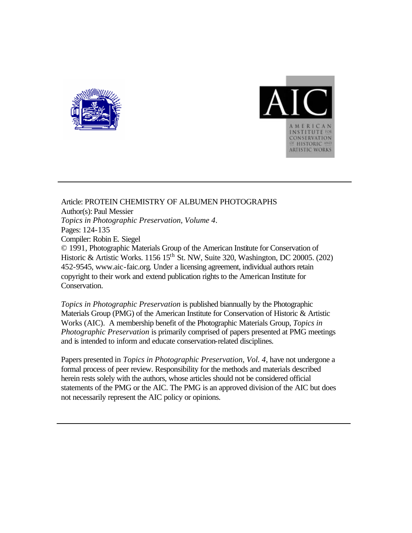



Article: PROTEIN CHEMISTRY OF ALBUMEN PHOTOGRAPHS Author(s): Paul Messier *Topics in Photographic Preservation, Volume 4*. Pages: 124-135 Compiler: Robin E. Siegel © 1991, Photographic Materials Group of the American Institute for Conservation of Historic & Artistic Works. 1156  $15^{th}$  St. NW, Suite 320, Washington, DC 20005. (202) 452-9545, www.aic-faic.org. Under a licensing agreement, individual authors retain copyright to their work and extend publication rights to the American Institute for Conservation.

*Topics in Photographic Preservation* is published biannually by the Photographic Materials Group (PMG) of the American Institute for Conservation of Historic & Artistic Works (AIC). A membership benefit of the Photographic Materials Group, *Topics in Photographic Preservation* is primarily comprised of papers presented at PMG meetings and is intended to inform and educate conservation-related disciplines.

Papers presented in *Topics in Photographic Preservation, Vol. 4*, have not undergone a formal process of peer review. Responsibility for the methods and materials described herein rests solely with the authors, whose articles should not be considered official statements of the PMG or the AIC. The PMG is an approved division of the AIC but does not necessarily represent the AIC policy or opinions.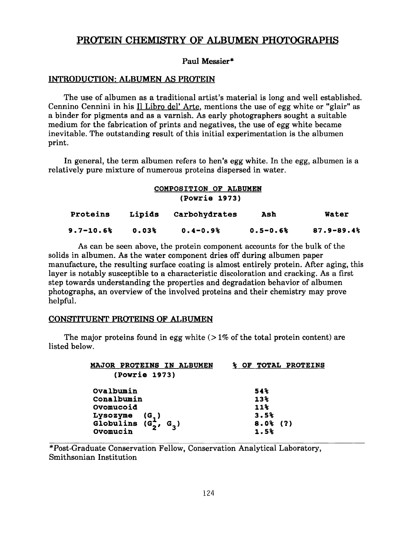# PROTEIN CHEMISTRY OF ALBUMEN PHOTOGRAPHS

# **Paul Messier\***

## **INTRODUCTION: ALBUMEN AS PROTEIN**

The use of albumen as a traditional artist's material is long and well established. Cennino Cennini in his Il Libro del' Arte, mentions the use of egg white or "glair" as a binder for pigments and as **a** varnish. As early photographers sought a suitable medium for the fabrication of prints and negatives, the use of egg white became inevitable. The outstanding result of this initial experimentation is the albumen print.

In general, the term albumen refers to hen's egg white. In the egg, albumen is a relatively pure mixture of numerous proteins dispersed in water.

|               |        | COMPOSITION OF ALBUMEN |              |                |  |  |
|---------------|--------|------------------------|--------------|----------------|--|--|
| (Powrie 1973) |        |                        |              |                |  |  |
| Proteins      | Lipids | Carbohydrates          | Ash          | Water          |  |  |
| $9.7 - 10.6%$ | 0.03%  | $0.4 - 0.9%$           | $0.5 - 0.6%$ | $87.9 - 89.4%$ |  |  |

**As** can be seen above, the protein component accounts for the bulk of the solids in albumen. As the water component dries off during albumen paper manufacture, the resulting surface coating is almost entirely protein. After aging, this layer is notably susceptible to a characteristic discoloration and cracking. As a first step towards understanding the properties and degradation behavior of albumen photographs, an overview of the involved proteins and their chemistry may prove helpful.

# **CONSI'ITUENT PROTEINS OF ALBUMEN**

The major proteins found in egg white  $(21\%$  of the total protein content) are listed below.

| <b>MAJOR PROTEINS IN ALBUMEN</b>           | % OF TOTAL PROTEINS |
|--------------------------------------------|---------------------|
| (Powrie 1973)                              |                     |
| Ovalbumin                                  | 54%                 |
| Conalbumin                                 | 13 <sup>8</sup>     |
| Ovomucoid                                  | $11$ <sup>2</sup>   |
|                                            | 3.5%                |
| Lysozyme $(G_1)$<br>Globulins $(G_2, G_3)$ | $8.0%$ (?)          |
| Ovomucin                                   | 1.5%                |

"Post-Graduate Conservation Fellow, Conservation Analytical Laboratory, Smithsonian Institution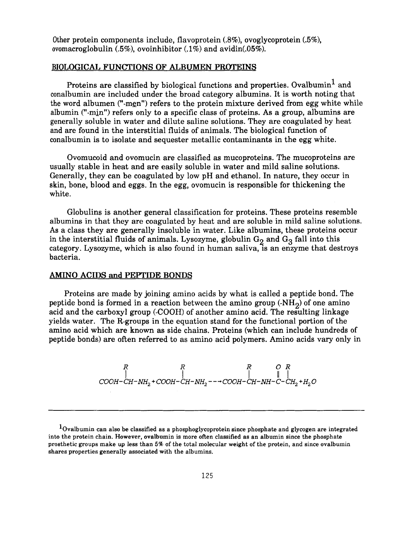Other protein components include, flavoprotein (.8%), ovoglycoprotein *(.5%),*  ovomacroglobulin *(.5%),* ovoinhibitor (. **1%)** and avidin(.05%).

### **BIOLOGICAL FUNCTIONS OF ALBUMEN PROTEINS**

Proteins are classified by biological functions and properties. Ovalbumin<sup>1</sup> and conalbumin are included under the broad category albumins. It is worth noting that the word albumen ("-men") refers to the protein mixture derived from egg white while albumin ("-min") refers only to a specific class of proteins. **As** a group, albumins are generally soluble in water and dilute saline solutions. They are coagulated by heat and are found in the interstitial fluids of animals. The biological function of conalbumin is to isolate and sequester metallic contaminants in the egg white.

Ovomucoid and ovomucin are classified as mucoproteins. The mucoproteins are usually stable in heat and are easily soluble in water and mild saline solutions. Generally, they can be coagulated by low pH and ethanol. In nature, they occur in skin, bone, blood and eggs. In the egg, ovomucin is responsible for thickening the white.

Globulins is another general classification for proteins. These proteins resemble albumins in that they are coagulated by heat and are soluble in mild saline solutions. **As** a class they are generally insoluble in water. Like albumins, these proteins occur in the interstitial fluids of animals. Lysozyme, globulin  $G_2$  and  $G_3$  fall into this category. Lysozyme, which is also found in human saliva, is an enzyme that destroys bacteria.

## **AMINO ACIDS and PEFTIDE BONDS**

Proteins are made by joining amino acids by what is called a peptide bond. The peptide bond is formed in a reaction between the amino group  $(MH<sub>2</sub>)$  of one amino acid and the carboxyl group (-COOH) of another amino acid. The resulting linkage yields water. The R-groups in the equation stand for the functional portion of the amino acid which are known as side chains. Proteins (which can include hundreds of peptide bonds) are often referred to as amino acid polymers. Amino acids vary only in

$$
\begin{array}{cc}\n & R & R & O & R \\
\mid & \mid & \mid & \mid \\
\text{COOH}-\text{CH}-\text{NH}_2+\text{COOH}-\text{CH}-\text{NH}_2--\rightarrow\text{COOH}-\text{CH}-\text{NH}-\text{C}-\text{CH}_2+\text{H}_2\text{O}\n\end{array}
$$

**<sup>&#</sup>x27;Ovalbumin can also be classified as a phosphoglycoprotein since phosphate and glycogen are integrated into the protein chain. However, ovalbumin is more often classified as an albumin since the phosphate prosthetic groups make up less than 5% of the total molecular weight of the protein, and since ovalbumin shares properties generally associated with the albumins.**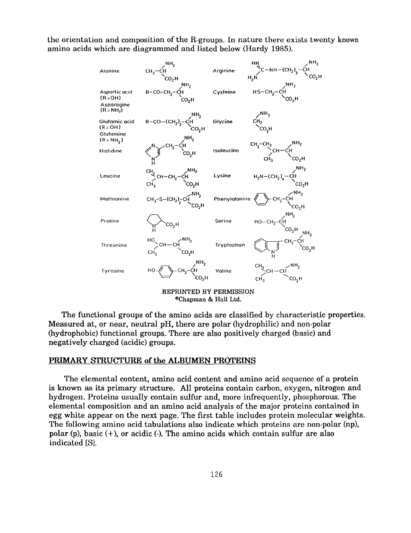the orientation and composition of the R-groups. In nature there exists twenty **known**  amino acids which are diagrammed and listed below (Hardy 1985).



The functional groups of the amino acids are classified by characteristic properties. Measured at, or near, neutral pH, there are polar (hydrophilic) and non-polar (hydrophobic) functional groups. There are also positively charged (basic) and negatively charged (acidic) groups.

#### **PRIMARY STRUCTURE of the ALBUMEN PROTEINS**

The elemental content, amino acid content and amino acid sequence of a protein is known as its primary structure. All proteins contain carbon, oxygen, nitrogen and hydrogen. Proteins usually contain sulfur and, more infrequently, phosphorous. The elemental composition and an amino acid analysis of the major proteins contained in egg white appear on the next page. The first table includes protein molecular weights. The following amino acid tabulations also indicate which proteins are non-polar (np), polar (p), basic  $(+)$ , or acidic  $(.)$ . The amino acids which contain sulfur are also indicated *[S].*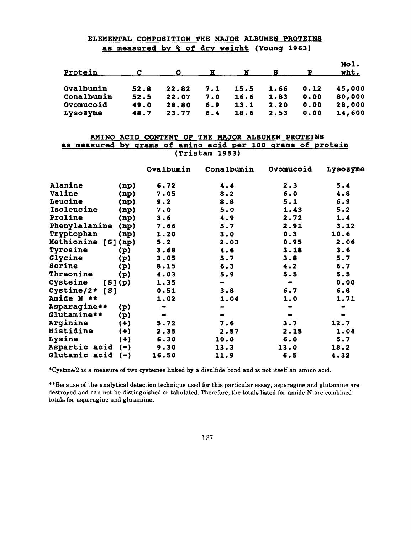# **ELEMENTAL COMPOSITION THE MAJOR ALBUMEN PROTEINS as measured by** % **of dry weiqht (Young 1963)**

| Protein         |      |       | н   | N    |      |      | Mol.<br>wht. |
|-----------------|------|-------|-----|------|------|------|--------------|
| Ovalbumin       | 52.8 | 22.82 | 7.1 | 15.5 | 1.66 | 0.12 | 45,000       |
| Conalbumin      | 52.5 | 22.07 | 7.0 | 16.6 | 1.83 | 0.00 | 80,000       |
| Ovomucoid       | 49.0 | 28.80 | 6.9 | 13.1 | 2.20 | 0.00 | 28,000       |
| <b>Lysozyme</b> | 48.7 | 23.77 | 6.4 | 18.6 | 2.53 | 0.00 | 14,600       |

## **AMINO ACID CONTENT OF THE MAJOR ALBUMEN PROTEINS as measured by qrams of amino acid per 100 qrams of protein (Tristam 1953)**

|                                |         | Ovalbumin | Conalbumin                                                                                                                                        | Ovomucoid                    | Lysozyme |
|--------------------------------|---------|-----------|---------------------------------------------------------------------------------------------------------------------------------------------------|------------------------------|----------|
| Alanine                        | (np)    | 6.72      | 4.4                                                                                                                                               | 2.3                          | 5.4      |
| Valine                         | (np)    | 7.05      | 8.2                                                                                                                                               | 6.0                          | 4.8      |
| Leucine                        | (np)    | 9.2       | 8.8                                                                                                                                               | 5.1                          | 6.9      |
| Isoleucine                     | (np)    | 7.0       | 5.0                                                                                                                                               | 1.43                         | 5.2      |
| Proline                        | (np)    | 3.6       | 4.9                                                                                                                                               | 2.72                         | 1.4      |
| Phenylalanine                  | (np)    | 7.66      | 5.7                                                                                                                                               | 2.91                         | 3.12     |
| Tryptophan                     | (np)    | 1.20      | 3.0                                                                                                                                               | 0.3                          | 10.6     |
| Methionine                     | [8](np) | 5.2       | 2.03                                                                                                                                              | 0.95                         | 2.06     |
| <b>Tyrosine</b>                | (p)     | 3.68      | 4.6                                                                                                                                               | 3.18                         | 3.6      |
| Glycine                        | (p)     | 3.05      | 5.7                                                                                                                                               | 3.8                          | 5.7      |
| Serine                         | (p)     | 8.15      | 6.3                                                                                                                                               | 4.2                          | 6.7      |
| Threonine                      | (p)     | 4.03      | 5.9                                                                                                                                               | 5.5                          | 5.5      |
| Cysteine                       | [8](p)  | 1.35      | $\blacksquare$                                                                                                                                    | $\blacksquare$               | 0.00     |
| Cystine/2*<br>[ <sub>B</sub> ] |         | 0.51      | 3.8                                                                                                                                               | 6.7                          | 6.8      |
| Amide N **                     |         | 1.02      | 1.04                                                                                                                                              | 1.0                          | 1.71     |
| Asparagine**                   | (p)     |           | $\blacksquare$                                                                                                                                    |                              |          |
| Glutamine**                    | (p)     |           | $\hskip1.6pt\hskip1.6pt\hskip1.6pt\hskip1.6pt\hskip1.6pt\hskip1.6pt\hskip1.6pt\hskip1.6pt\hskip1.6pt\hskip1.6pt\hskip1.6pt\hskip1.6pt\hskip1.6pt$ | $\qquad \qquad \blacksquare$ |          |
| <b>Arqinine</b>                | $(+)$   | 5.72      | 7.6                                                                                                                                               | 3.7                          | 12.7     |
| <b>Histidine</b>               | $(+)$   | 2.35      | 2.57                                                                                                                                              | 2.15                         | 1.04     |
| Lysine                         | $(+)$   | 6.30      | 10.0                                                                                                                                              | 6.0                          | 5.7      |
| Aspartic acid                  | $(-)$   | 9.30      | 13.3                                                                                                                                              | 13.0                         | 18.2     |
| Glutamic acid                  | (一)     | 16.50     | 11.9                                                                                                                                              | 6.5                          | 4.32     |

**\*Cystinel2 is a measure of two cysteines linked by a disulfide bond and is not itself an amino acid.** 

**\*\*Because of the analytical detection technique used for this particular assay, asparagine and glutamine are destroyed and can not be distinguished or tabulated. Therefore, the totals listed for amide N are combined totals for asparagine and glutamine.**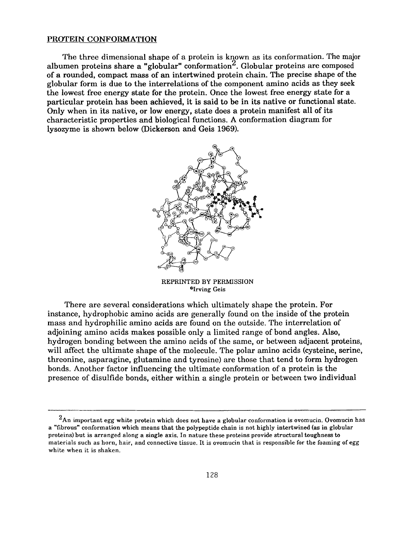#### **PROTEIN CONFORMATION**

The three dimensional shape of a protein is known as its conformation. The **major**  albumen proteins share a "globular" conformation<sup>2</sup>. Globular proteins are composed of **a** rounded, compact mass of an intertwined protein chain. The precise shape of the globular form is due to the interrelations of the component amino acids **as** they **seek**  the lowest free energy state for the protein. Once the lowest free energy state for a particular protein has been achieved, it is said to be in its native or functional state. Only when in its native, **or** low energy, state does a protein manifest all of its characteristic properties and biological functions. **A** conformation diagram for lysozyme is shown below (Dickerson and Geis **1969).** 



**REPRINTED BY PERMISSION "Irving Geis** 

There are several considerations which ultimately shape the protein. For instance, hydrophobic amino acids are generally found on the inside of the protein mass and hydrophilic amino acids are found on the outside. The interrelation **of**  adjoining amino acids makes possible only a limited range of bond angles. Also, hydrogen bonding between the amino acids of the same, or between adjacent proteins, will affect the ultimate shape of the molecule. The polar amino acids (cysteine, serine, threonine, asparagine, glutamine and tyrosine) are those that tend to form hydrogen bonds. Another factor influencing the ultimate conformation of a protein is the presence of disulfide bonds, either within a single protein or between two individual

**<sup>2</sup>An important egg white protein which does not have a globular conformation is ovomucin. Ovomucin has a "fibrous" conformation which means that the polypeptide chain is not highly intertwined (as in globular proteins) but is arranged along a single axis. In nature these proteins provide structural toughness to materials such as horn, hair, and connective tissue. It** is **ovomucin that** is **responsible for the foaming of egg white when it is shaken.**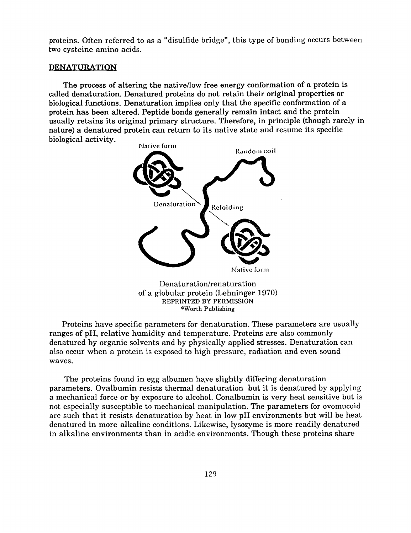proteins. Often referred to as a "disulfide bridge", this type of bonding occurs between two cysteine amino acids.

#### **DENATURATION**

The process of altering the nativellow free energy conformation of a protein is called denaturation. Denatured proteins do not retain their original properties or biological functions. Denaturation implies only that the specific conformation **of** a protein has been altered. Peptide bonds generally remain intact and the protein usually retains its original primary structure. Therefore, in principle (though rarely in nature) a denatured protein can return to its native state and resume its specific biological activity.



of a globular protein (Lehninger 1970) REPRINTED BY PERMISSION "Worth Publishing

Proteins have specific parameters for denaturation. These parameters are usually ranges of pH, relative humidity and temperature. Proteins are also commonly denatured by organic solvents and by physically applied stresses. Denaturation can also occur when a protein is exposed to high pressure, radiation and even sound waves.

The proteins found in egg albumen have slightly differing denaturation parameters. Ovalbumin resists thermal denaturation but it is denatured by applying a mechanical force or by exposure to alcohol. Conalbumin is very heat sensitive but is not especially susceptible to mechanical manipulation. The parameters for ovomucoid are such that it resists denaturation by heat in low pH environments but will be heat denatured in more alkaline conditions. Likewise, lysozyme is more readily denatured in alkaline environments than in acidic environments. Though these proteins share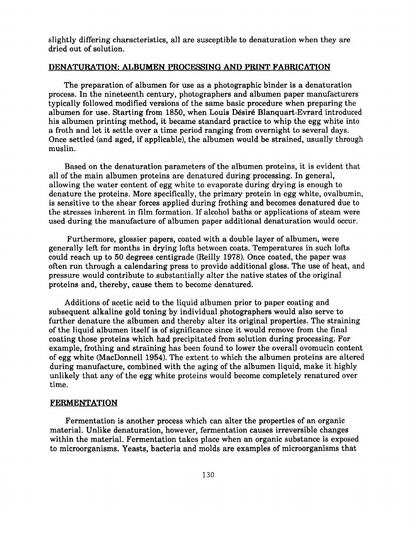slightly differing characteristics, all are susceptible to denaturation when they are dried out of solution.

# **DENATURATION: ALBUMEN PROCESSING AND PRINT FABRICATION**

The preparation of albumen for use as a photographic binder is a denaturation process. In the nineteenth century, photographers and albumen paper manufacturers typically followed modified versions of the same basic procedure when preparing the albumen for use. Starting from 1850, when Louis Désiré Blanquart-Evrard introduced his albumen printing method, it became standard practice to whip the egg white into a froth and let it settle over a time period ranging from overnight to several days. Once settled (and aged, if applicable), the albumen would be strained, usually through muslin.

Based on the denaturation parameters of the albumen proteins, it is evident that all of the main albumen proteins are denatured during processing. In general, allowing the water content of egg white to evaporate during drying is enough to denature the proteins. More specifically, the primary protein in egg white, ovalbumin, is sensitive to the shear forces applied during frothing and becomes denatured due to the stresses inherent in film formation. If alcohol baths or applications of steam were used during the manufacture of albumen paper additional denaturation would occur.

Furthermore, glossier papers, coated with a double layer of albumen, were generally left for months in drying lofts between coats. Temperatures in such lofts could reach up to 50 degrees centigrade fReilly 1978). Once coated, the paper was often run through a calendaring press to provide additional gloss. The use of heat, and pressure would contribute to substantially alter the native states of the original proteins and, thereby, cause them to become denatured.

Additions of acetic acid to the liquid albumen prior to paper coating and subsequent alkaline gold toning by individual photographers would also serve to further denature the albumen and thereby alter its original properties. The straining of the liquid albumen itself is of significance since it would remove from the final coating those proteins which had precipitated from solution during processing. For example, frothing and straining has been found to lower the overall ovomucin content of egg white (MacDonnell 1954). The extent to which the albumen proteins are altered during manufacture, combined with the aging of the albumen liquid, make it highly unlikely that any of the egg white proteins would become completely renatured over time.

# **FERMENTATION**

Fermentation is another process which can alter the properties of an organic material. Unlike denaturation, however, fermentation causes irreversible changes within the material. Fermentation takes place when an organic substance is exposed to microorganisms. Yeasts, bacteria and molds are examples of microorganisms that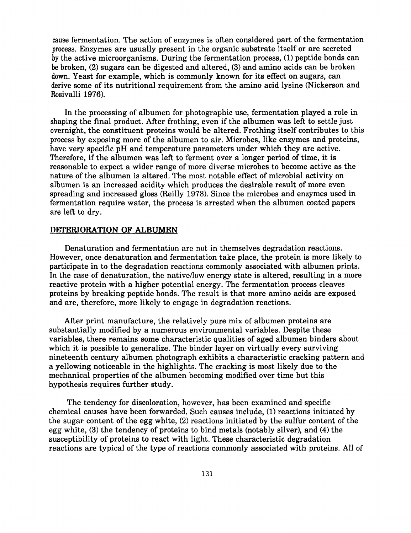cause fermentation. The action of enzymes is often considered part of the fermentation process. Enzymes are usually present in the organic substrate itself or are secreted by the active microorganisms. During the fermentation process, (1) peptide bonds can be broken, (2) sugars can be digested and altered, **(3)** and amino acids can be broken down. Yeast for example, which is commonly known for its effect on sugars, can derive some of its nutritional requirement from the amino acid lysine (Nickerson and Rosivalli **1976).** 

In the processing of albumen for photographic use, fermentation played a role in shaping the final product. After frothing, even if the albumen was left to settle just overnight, the constituent proteins would be altered. Frothing itself contributes to this process by exposing more of the albumen to air. Microbes, like enzymes and proteins, have very specific pH and temperature parameters under which they are active. Therefore, if the albumen was left to ferment over a longer period of time, it is reasonable to expect a wider range of more diverse microbes to become active as the nature of the albumen is altered. The most notable effect of microbial activity on albumen is an increased acidity which produces the desirable result of more even spreading and increased gloss (Reilly 1978). Since the microbes and enzymes used in fermentation require water, the process is arrested when the albumen coated papers are left to dry.

# **DETERIORATION OF ALBUMEN**

Denaturation and fermentation are not in themselves degradation reactions. However, once denaturation and fermentation take place, the protein is more likely to participate in to the degradation reactions commonly associated with albumen prints. In the case of denaturation, the native/low energy state is altered, resulting in a more reactive protein with a higher potential energy. The fermentation process cleaves proteins by breaking peptide bonds. The result is that more amino acids are exposed and are, therefore, more likely to engage in degradation reactions.

After print manufacture, the relatively pure mix of albumen proteins are substantially modified by a numerous environmental variables. Despite these variables, there remains some characteristic qualities of aged albumen binders about which it is possible to generalize. The binder layer on virtually every surviving nineteenth century albumen photograph exhibits a characteristic cracking pattern and a yellowing noticeable in the highlights. The cracking is most likely due to the mechanical properties of the albumen becoming modified over time but this hypothesis requires further study.

The tendency for discoloration, however, has been examined and specific chemical causes have been forwarded. Such causes include, (1) reactions initiated by the sugar content of the egg white, (2) reactions initiated by the sulfur content of the egg white, **(3)** the tendency of proteins to bind metals (notably silver), and **(4)** the susceptibility of proteins to react with light. These characteristic degradation reactions are typical of the type of reactions commonly associated with proteins. All of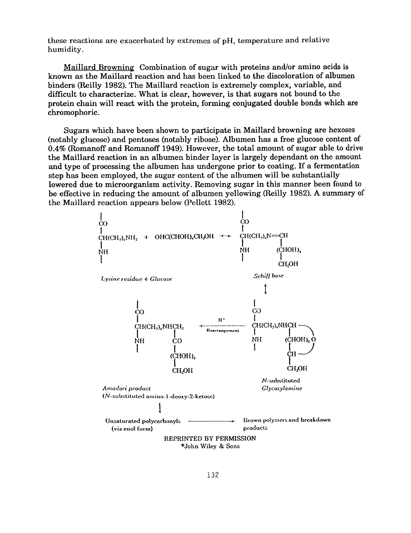these reactions are exacerbated by extremes **of** pH, temperature and relative humidity.

Maillard Browning Combination of sugar with proteins and/or amino acids is **known as** the Maillard reaction and has been linked to the discoloration of albumen binders (Reilly 1982). The Maillard reaction is extremely complex, variable, and difficult to characterize. What is clear, however, is that sugars not bound to the protein chain will react with the protein, forming conjugated double bonds which are chromophoric.

Sugars which have been shown to participate in Maillard browning are hexoses (notably glucose) and pentoses (notably ribose). Albumen has a free glucose content of **0.4%** (Romanoff and Romanoff 1949). However, the total amount of sugar able to drive the Maillard reaction in an albumen binder layer is largely dependant on the amount and type of processing the albumen has undergone prior to coating. If a fermentation step has been employed, the sugar content of the albumen will be substantially lowered due to microorganism activity. Removing sugar in this manner been found to be effective in reducing the amount **of** albumen yellowing (Reilly 1982). A summary of the Maillard reaction appears below (Pellett 1982).

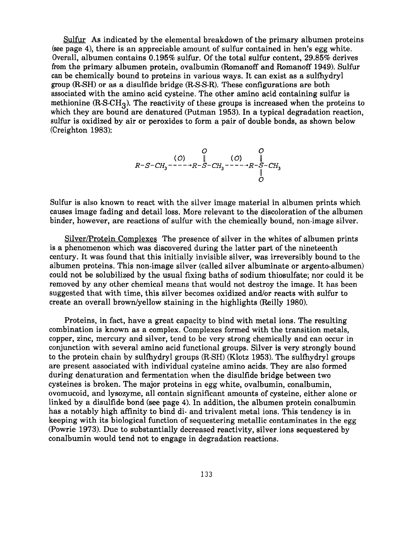Sulfur **As** indicated by the elemental breakdown of the primary albumen proteins (see page **4),** there is an appreciable amount of sulfur contained in hen's egg white. Overall, albumen contains 0.195% sulfur. Of the total sulfur content, 29.85% derives from the primary albumen protein, ovalbumin (Romanoff and Romanoff 1949). Sulfur can be chemically bound to proteins in various ways. It can exist as a sulfhydryl group (R-SH) or as a disulfide bridge (R-S-S-R). These configurations are both associated with the amino acid cysteine. The other amino acid containing sulfur is methionine  $(R-SCH<sub>3</sub>)$ . The reactivity of these groups is increased when the proteins to which they are bound are denatured (Putman 1953). In a typical degradation reaction, sulfur is oxidized by air or peroxides to form a pair of double bonds, as shown below (Creighton 1983):

$$
\begin{array}{c}\nO & O \\
R-S-CH_3 \quad - \quad - \quad + R-S-CH_3 \quad - \quad - \quad + R-S-CH_3 \\
O & \parallel \\
O & O\n\end{array}
$$

Sulfur is also known to react with the silver image material in albumen prints which causes image fading and detail loss. More relevant to the discoloration of the albumen binder, however, are reactions of sulfur with the chemically bound, non-image silver.

Silver/Protein Complexes The presence of silver in the whites of albumen prints is a phenomenon which was discovered during the latter part of the nineteenth century. It was found that this initially invisible silver, was irreversibly bound to the albumen proteins. This non-image silver (called silver albuminate or argento-albumen) could not be solubilized by the usual fixing baths of sodium thiosulfate; nor could it be removed by any other chemical means that would not destroy the image. It has been suggested that with time, this silver becomes oxidized and/or reacts with sulfur to create an overall browdyellow staining in the highlights (Reilly 1980).

Proteins, in fact, have a great capacity to bind with metal ions. The resulting combination is known as a complex. Complexes formed with the transition metals, copper, zinc, mercury and silver, tend to be very strong chemically and can occur in conjunction with several amino acid functional groups. Silver is very strongly bound to the protein chain by sulfhydryl groups (R-SH) (Klotz 1953). The sulfhydryl groups are present associated with individual cysteine amino acids. They are also formed during denaturation and fermentation when the disulfide bridge between two cysteines is broken. The major proteins in egg white, ovalbumin, conalbumin, ovomucoid, and lysozyme, all contain significant amounts of cysteine, either alone or linked by a disulfide bond (see page **4).** In addition, the albumen protein conalbumin has a notably high affinity to bind di- and trivalent metal ions. This tendency is in keeping with its biological function of sequestering metallic contaminates in the egg (Powrie 1973). Due to substantially decreased reactivity, silver ions sequestered by conalbumin would tend not to engage in degradation reactions.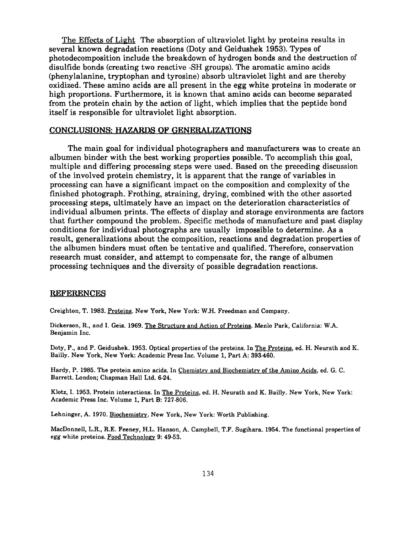The Effects of Lipht The absorption of ultraviolet light by proteins results in several known degradation reactions (Doty and Geidushek 1953). Types of photodecomposition include the breakdown of hydrogen bonds and the destruction of disulfide bonds (creating two reactive -SH groups). The aromatic amino acids (phenylalanine, tryptophan and tyrosine) absorb ultraviolet light and are thereby oxidized. These amino acids are all present in the egg white proteins in moderate or high proportions. Furthermore, it is known that amino acids can become separated from the protein chain by the action of light, which implies that the peptide bond itself is responsible for ultraviolet light absorption.

### **CONCLUSIONS: HAZARDS OF GENERALIZATIONS**

The main goal for individual photographers and manufacturers was to create an albumen binder with the best working properties possible. To accomplish this goal, multiple and differing processing steps were used. Based on the preceding discussion of the involved protein chemistry, it is apparent that the range of variables in processing can have a significant impact on the composition and complexity of the finished photograph. Frothing, straining, drying, combined with the other assorted processing steps, ultimately have an impact on the deterioration characteristics of individual albumen prints. The effects of display and storage environments are factors that further compound the problem. Specific methods of manufacture and past display conditions for individual photographs are usually impossible to determine. **As** a result, generalizations about the composition, reactions and degradation properties of the albumen binders must often be tentative and qualified. Therefore, conservation research must consider, and attempt to compensate for, the range of albumen processing techniques and the diversity of possible degradation reactions.

#### **REFERENCES**

Creighton, T. **1983.** Proteins. New York, New York: W.H. Freedman and Company.

Dickerson, R., and I. &is. **1969.** The Structure and Action of Proteins. Menlo Park, California: W.A. Benjamin Inc.

Doty, P., and P. Geidushek. **1953.** Optical properties of the proteins. In The Proteins, ed. H. Neurath and K. Bailly. New York, New York: Academic Press Inc. Volume **1,** Part A: **393-460.** 

Hardy, P. 1985. The protein amino acids. In Chemistry and Biochemistry of the Amino Acids, ed. G. C. Barrett. London; Chapman Hall Ltd. **6-24.** 

Klotz, 1. **1953.** Protein interactions. In The Proteins, ed. H. Neurath and K. Bailly. New York, New York: Academic Press Inc. Volume **1,** Part B: **727-806.** 

Lehninger, A. 1970. Biochemistry. New York, New York: Worth Publishing.

MacDonnell, L.R., R.E. Feeney, H.L. Hanson, A. Campbell, T.F. Sugihara. **1954.** The functional properties of egg white proteins. Food Technology 9: 49-53.